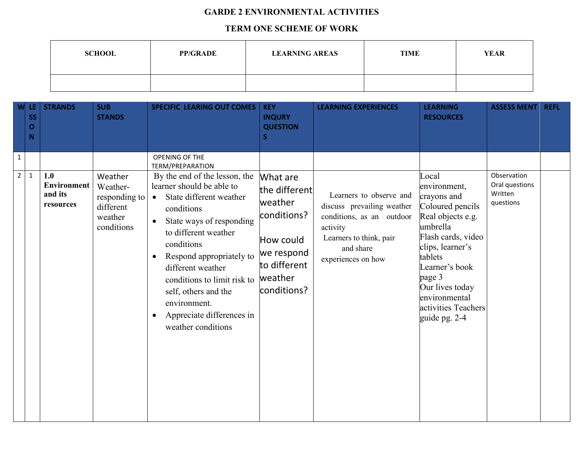## **GARDE 2 ENVIRONMENTAL ACTIVITIES**

## **TERM ONE SCHEME OF WORK**

| <b>SCHOOL</b> | <b>PP/GRADE</b> | <b>LEARNING AREAS</b> | <b>TIME</b> | <b>YEAR</b> |
|---------------|-----------------|-----------------------|-------------|-------------|
|               |                 |                       |             |             |

| W                              | LE.<br><b>SS</b><br>$\mathbf O$<br>N | <b>STRANDS</b>                                    | <b>SUB</b><br><b>STANDS</b>                                                | <b>SPECIFIC LEARING OUT COMES</b>                                                                                                                                                                                                                                                                                                                                    | <b>KEY</b><br><b>INQURY</b><br><b>QUESTION</b><br>S.                                                                     | <b>LEARNING EXPERIENCES</b>                                                                                                                                  | <b>LEARNING</b><br><b>RESOURCES</b>                                                                                                                                                                            | <b>ASSESS MENT</b>                                    | <b>REFL</b> |
|--------------------------------|--------------------------------------|---------------------------------------------------|----------------------------------------------------------------------------|----------------------------------------------------------------------------------------------------------------------------------------------------------------------------------------------------------------------------------------------------------------------------------------------------------------------------------------------------------------------|--------------------------------------------------------------------------------------------------------------------------|--------------------------------------------------------------------------------------------------------------------------------------------------------------|----------------------------------------------------------------------------------------------------------------------------------------------------------------------------------------------------------------|-------------------------------------------------------|-------------|
| $\mathbf{1}$<br>$\overline{2}$ | $\mathbf{1}$                         | 1.0<br><b>Environment</b><br>and its<br>resources | Weather<br>Weather-<br>responding to<br>different<br>weather<br>conditions | OPENING OF THE<br><b>TERM/PREPARATION</b><br>By the end of the lesson, the<br>learner should be able to<br>State different weather<br>$\bullet$<br>conditions<br>State ways of responding<br>$\bullet$<br>to different weather<br>conditions<br>Respond appropriately to<br>different weather<br>conditions to limit risk to<br>self, others and the<br>environment. | What are<br>the different<br>weather<br>conditions?<br>How could<br>we respond<br>to different<br>weather<br>conditions? | Learners to observe and<br>discuss prevailing weather<br>conditions, as an outdoor<br>activity<br>Learners to think, pair<br>and share<br>experiences on how | Local<br>environment,<br>crayons and<br>Coloured pencils<br>Real objects e.g.<br>umbrella<br>Flash cards, video<br>clips, learner's<br>tablets<br>Learner's book<br>page 3<br>Our lives today<br>environmental | Observation<br>Oral questions<br>Written<br>questions |             |
|                                |                                      |                                                   |                                                                            | Appreciate differences in<br>weather conditions                                                                                                                                                                                                                                                                                                                      |                                                                                                                          |                                                                                                                                                              | activities Teachers<br>guide pg. 2-4                                                                                                                                                                           |                                                       |             |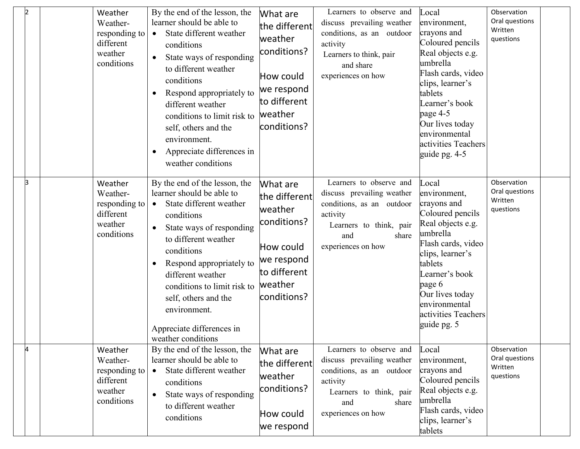| Þ | Weather<br>Weather-<br>responding to<br>different<br>weather<br>conditions | By the end of the lesson, the<br>learner should be able to<br>State different weather<br>$\bullet$<br>conditions<br>State ways of responding<br>to different weather<br>conditions<br>Respond appropriately to<br>different weather<br>conditions to limit risk to<br>self, others and the<br>environment.<br>Appreciate differences in<br>$\bullet$<br>weather conditions              | What are<br>the different<br>weather<br>conditions?<br>How could<br>we respond<br>to different<br>weather<br>conditions? | Learners to observe and<br>discuss prevailing weather<br>conditions, as an outdoor<br>activity<br>Learners to think, pair<br>and share<br>experiences on how    | Local<br>environment,<br>crayons and<br>Coloured pencils<br>Real objects e.g.<br>umbrella<br>Flash cards, video<br>clips, learner's<br>tablets<br>Learner's book<br>page $4-5$<br>Our lives today<br>environmental<br>activities Teachers<br>guide pg. 4-5 | Observation<br>Oral questions<br>Written<br>questions |
|---|----------------------------------------------------------------------------|-----------------------------------------------------------------------------------------------------------------------------------------------------------------------------------------------------------------------------------------------------------------------------------------------------------------------------------------------------------------------------------------|--------------------------------------------------------------------------------------------------------------------------|-----------------------------------------------------------------------------------------------------------------------------------------------------------------|------------------------------------------------------------------------------------------------------------------------------------------------------------------------------------------------------------------------------------------------------------|-------------------------------------------------------|
| k | Weather<br>Weather-<br>responding to<br>different<br>weather<br>conditions | By the end of the lesson, the<br>learner should be able to<br>State different weather<br>$\bullet$<br>conditions<br>State ways of responding<br>$\bullet$<br>to different weather<br>conditions<br>Respond appropriately to<br>$\bullet$<br>different weather<br>conditions to limit risk to<br>self, others and the<br>environment.<br>Appreciate differences in<br>weather conditions | What are<br>the different<br>weather<br>conditions?<br>How could<br>we respond<br>to different<br>weather<br>conditions? | Learners to observe and<br>discuss prevailing weather<br>conditions, as an outdoor<br>activity<br>Learners to think, pair<br>share<br>and<br>experiences on how | Local<br>environment,<br>crayons and<br>Coloured pencils<br>Real objects e.g.<br>umbrella<br>Flash cards, video<br>clips, learner's<br>tablets<br>Learner's book<br>page 6<br>Our lives today<br>environmental<br>activities Teachers<br>guide pg. 5       | Observation<br>Oral questions<br>Written<br>questions |
|   | Weather<br>Weather-<br>responding to<br>different<br>weather<br>conditions | By the end of the lesson, the<br>learner should be able to<br>State different weather<br>conditions<br>State ways of responding<br>$\bullet$<br>to different weather<br>conditions                                                                                                                                                                                                      | What are<br>the different<br>weather<br>conditions?<br>How could<br>we respond                                           | Learners to observe and<br>discuss prevailing weather<br>conditions, as an outdoor<br>activity<br>Learners to think, pair<br>share<br>and<br>experiences on how | Local<br>environment,<br>crayons and<br>Coloured pencils<br>Real objects e.g.<br>umbrella<br>Flash cards, video<br>clips, learner's<br>tablets                                                                                                             | Observation<br>Oral questions<br>Written<br>questions |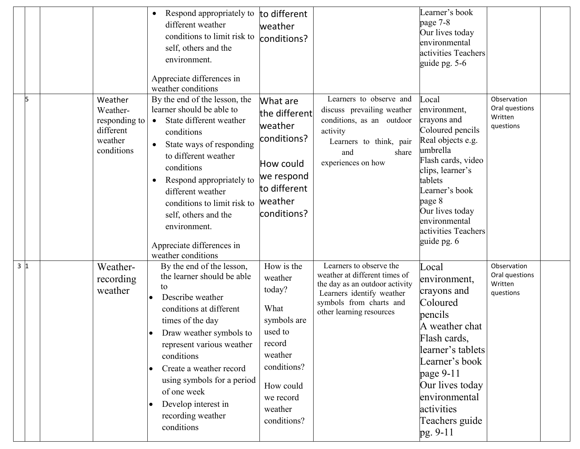|     |                                                                            | Respond appropriately to<br>$\bullet$<br>different weather<br>conditions to limit risk to<br>self, others and the<br>environment.<br>Appreciate differences in<br>weather conditions                                                                                                                                                                                                    | to different<br>weather<br>conditions?                                                                                                                    |                                                                                                                                                                                | Learner's book<br>page 7-8<br>Our lives today<br>environmental<br>activities Teachers<br>guide pg. $5-6$                                                                                                                                             |                                                       |
|-----|----------------------------------------------------------------------------|-----------------------------------------------------------------------------------------------------------------------------------------------------------------------------------------------------------------------------------------------------------------------------------------------------------------------------------------------------------------------------------------|-----------------------------------------------------------------------------------------------------------------------------------------------------------|--------------------------------------------------------------------------------------------------------------------------------------------------------------------------------|------------------------------------------------------------------------------------------------------------------------------------------------------------------------------------------------------------------------------------------------------|-------------------------------------------------------|
| 5   | Weather<br>Weather-<br>responding to<br>different<br>weather<br>conditions | By the end of the lesson, the<br>learner should be able to<br>State different weather<br>$\bullet$<br>conditions<br>State ways of responding<br>$\bullet$<br>to different weather<br>conditions<br>Respond appropriately to<br>$\bullet$<br>different weather<br>conditions to limit risk to<br>self, others and the<br>environment.<br>Appreciate differences in<br>weather conditions | What are<br>the different<br>weather<br>conditions?<br>How could<br>we respond<br>to different<br>weather<br>conditions?                                  | Learners to observe and<br>discuss prevailing weather<br>conditions, as an outdoor<br>activity<br>Learners to think, pair<br>share<br>and<br>experiences on how                | Local<br>environment,<br>crayons and<br>Coloured pencils<br>Real objects e.g.<br>umbrella<br>Flash cards, video<br>clips, learner's<br>tablets<br>Learner's book<br>page 8<br>Our lives today<br>environmental<br>activities Teachers<br>guide pg. 6 | Observation<br>Oral questions<br>Written<br>questions |
| 3 1 | Weather-<br>recording<br>weather                                           | By the end of the lesson,<br>the learner should be able<br>to<br>Describe weather<br>conditions at different<br>times of the day<br>Draw weather symbols to<br>represent various weather<br>conditions<br>Create a weather record<br>$\bullet$<br>using symbols for a period<br>of one week<br>Develop interest in<br>$\bullet$<br>recording weather<br>conditions                      | How is the<br>weather<br>today?<br>What<br>symbols are<br>used to<br>record<br>weather<br>conditions?<br>How could<br>we record<br>weather<br>conditions? | Learners to observe the<br>weather at different times of<br>the day as an outdoor activity<br>Learners identify weather<br>symbols from charts and<br>other learning resources | Local<br>environment,<br>crayons and<br>Coloured<br>pencils<br>A weather chat<br>Flash cards,<br>learner's tablets<br>Learner's book<br>page $9-11$<br>Our lives today<br>environmental<br>activities<br>Teachers guide<br>pg. 9-11                  | Observation<br>Oral questions<br>Written<br>questions |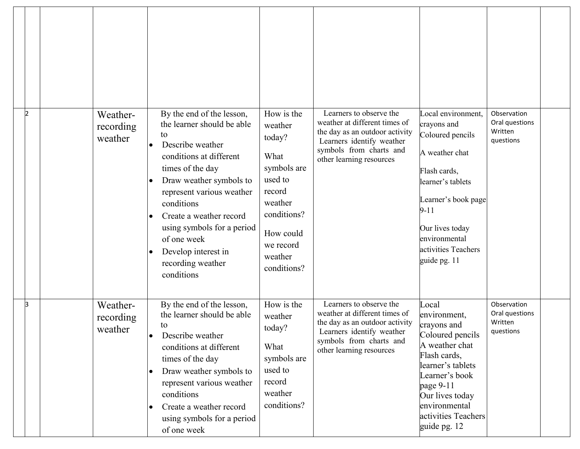| 2<br>Weather-<br>recording<br>weather  | By the end of the lesson,<br>the learner should be able<br>to<br>Describe weather<br>$\bullet$<br>conditions at different<br>times of the day<br>Draw weather symbols to<br>$\bullet$<br>represent various weather<br>conditions<br>Create a weather record<br>$\bullet$<br>using symbols for a period<br>of one week<br>Develop interest in<br>$\bullet$<br>recording weather<br>conditions | How is the<br>weather<br>today?<br>What<br>symbols are<br>used to<br>record<br>weather<br>conditions?<br>How could<br>we record<br>weather<br>conditions? | Learners to observe the<br>weather at different times of<br>the day as an outdoor activity<br>Learners identify weather<br>symbols from charts and<br>other learning resources | Local environment,<br>crayons and<br>Coloured pencils<br>A weather chat<br>Flash cards,<br>learner's tablets<br>Learner's book page<br>$9 - 11$<br>Our lives today<br>environmental<br>activities Teachers<br>guide pg. 11 | Observation<br>Oral questions<br>Written<br>questions |  |
|----------------------------------------|----------------------------------------------------------------------------------------------------------------------------------------------------------------------------------------------------------------------------------------------------------------------------------------------------------------------------------------------------------------------------------------------|-----------------------------------------------------------------------------------------------------------------------------------------------------------|--------------------------------------------------------------------------------------------------------------------------------------------------------------------------------|----------------------------------------------------------------------------------------------------------------------------------------------------------------------------------------------------------------------------|-------------------------------------------------------|--|
| lЗ<br>Weather-<br>recording<br>weather | By the end of the lesson,<br>the learner should be able<br>to<br>Describe weather<br>conditions at different<br>times of the day<br>Draw weather symbols to<br>$\bullet$<br>represent various weather<br>conditions<br>Create a weather record<br>$\bullet$<br>using symbols for a period<br>of one week                                                                                     | How is the<br>weather<br>today?<br>What<br>symbols are<br>used to<br>record<br>weather<br>conditions?                                                     | Learners to observe the<br>weather at different times of<br>the day as an outdoor activity<br>Learners identify weather<br>symbols from charts and<br>other learning resources | Local<br>environment,<br>crayons and<br>Coloured pencils<br>A weather chat<br>Flash cards,<br>learner's tablets<br>Learner's book<br>page 9-11<br>Our lives today<br>environmental<br>activities Teachers<br>guide pg. 12  | Observation<br>Oral questions<br>Written<br>questions |  |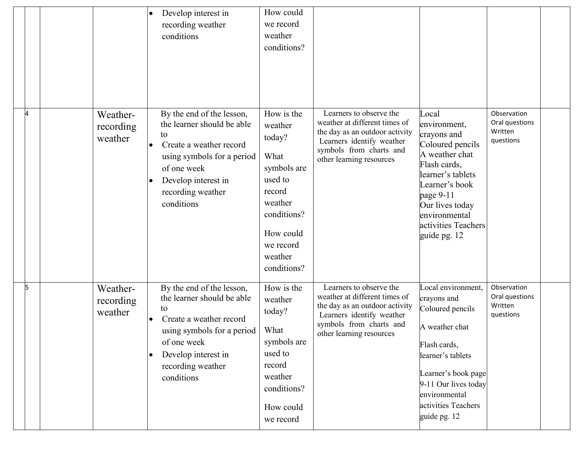|                |                                  | Develop interest in<br>recording weather<br>conditions                                                                                                                                                       | How could<br>we record<br>weather<br>conditions?                                                                                                          |                                                                                                                                                                                |                                                                                                                                                                                                                           |                                                       |
|----------------|----------------------------------|--------------------------------------------------------------------------------------------------------------------------------------------------------------------------------------------------------------|-----------------------------------------------------------------------------------------------------------------------------------------------------------|--------------------------------------------------------------------------------------------------------------------------------------------------------------------------------|---------------------------------------------------------------------------------------------------------------------------------------------------------------------------------------------------------------------------|-------------------------------------------------------|
| ᡌ              | Weather-<br>recording<br>weather | By the end of the lesson,<br>the learner should be able<br>to<br>Create a weather record<br>using symbols for a period<br>of one week<br>Develop interest in<br>recording weather<br>conditions              | How is the<br>weather<br>today?<br>What<br>symbols are<br>used to<br>record<br>weather<br>conditions?<br>How could<br>we record<br>weather<br>conditions? | Learners to observe the<br>weather at different times of<br>the day as an outdoor activity<br>Learners identify weather<br>symbols from charts and<br>other learning resources | Local<br>environment,<br>crayons and<br>Coloured pencils<br>A weather chat<br>Flash cards,<br>learner's tablets<br>Learner's book<br>page 9-11<br>Our lives today<br>environmental<br>activities Teachers<br>guide pg. 12 | Observation<br>Oral questions<br>Written<br>questions |
| $\overline{5}$ | Weather-<br>recording<br>weather | By the end of the lesson,<br>the learner should be able<br>to<br>Create a weather record<br>using symbols for a period<br>of one week<br>Develop interest in<br>$\bullet$<br>recording weather<br>conditions | How is the<br>weather<br>today?<br>What<br>symbols are<br>used to<br>record<br>weather<br>conditions?<br>How could<br>we record                           | Learners to observe the<br>weather at different times of<br>the day as an outdoor activity<br>Learners identify weather<br>symbols from charts and<br>other learning resources | Local environment,<br>crayons and<br>Coloured pencils<br>A weather chat<br>Flash cards,<br>learner's tablets<br>Learner's book page<br>9-11 Our lives today<br>environmental<br>activities Teachers<br>guide pg. 12       | Observation<br>Oral questions<br>Written<br>questions |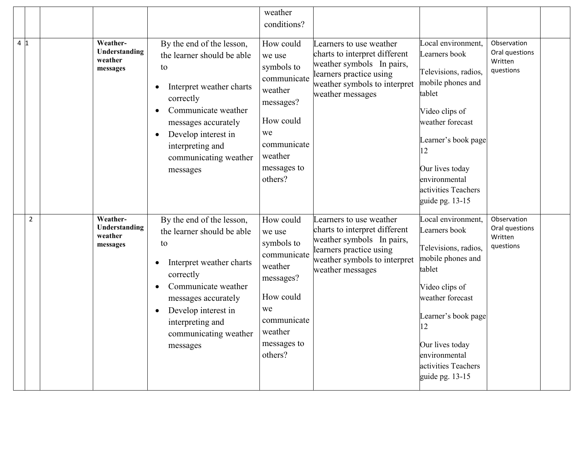|                |                                                  |                                                                                                                                                                                                                                                                             | weather<br>conditions?                                                                                                                          |                                                                                                                                                                      |                                                                                                                                                                                                                                             |                                                       |
|----------------|--------------------------------------------------|-----------------------------------------------------------------------------------------------------------------------------------------------------------------------------------------------------------------------------------------------------------------------------|-------------------------------------------------------------------------------------------------------------------------------------------------|----------------------------------------------------------------------------------------------------------------------------------------------------------------------|---------------------------------------------------------------------------------------------------------------------------------------------------------------------------------------------------------------------------------------------|-------------------------------------------------------|
|                |                                                  |                                                                                                                                                                                                                                                                             |                                                                                                                                                 |                                                                                                                                                                      |                                                                                                                                                                                                                                             |                                                       |
| 4 1            | Weather-<br>Understanding<br>weather<br>messages | By the end of the lesson,<br>the learner should be able<br>to<br>Interpret weather charts<br>$\bullet$<br>correctly<br>Communicate weather<br>$\bullet$<br>messages accurately<br>Develop interest in<br>$\bullet$<br>interpreting and<br>communicating weather<br>messages | How could<br>we use<br>symbols to<br>communicate<br>weather<br>messages?<br>How could<br>we<br>communicate<br>weather<br>messages to<br>others? | Learners to use weather<br>charts to interpret different<br>weather symbols In pairs,<br>learners practice using<br>weather symbols to interpret<br>weather messages | Local environment,<br>Learners book<br>Televisions, radios,<br>mobile phones and<br>tablet<br>Video clips of<br>weather forecast<br>Learner's book page<br>12<br>Our lives today<br>environmental<br>activities Teachers<br>guide pg. 13-15 | Observation<br>Oral questions<br>Written<br>questions |
| $\overline{2}$ | Weather-<br>Understanding<br>weather<br>messages | By the end of the lesson,<br>the learner should be able<br>to<br>Interpret weather charts<br>$\bullet$<br>correctly<br>Communicate weather<br>$\bullet$<br>messages accurately<br>Develop interest in<br>$\bullet$<br>interpreting and<br>communicating weather<br>messages | How could<br>we use<br>symbols to<br>communicate<br>weather<br>messages?<br>How could<br>we<br>communicate<br>weather<br>messages to<br>others? | Learners to use weather<br>charts to interpret different<br>weather symbols In pairs,<br>learners practice using<br>weather symbols to interpret<br>weather messages | Local environment,<br>Learners book<br>Televisions, radios,<br>mobile phones and<br>tablet<br>Video clips of<br>weather forecast<br>Learner's book page<br>12<br>Our lives today<br>environmental<br>activities Teachers<br>guide pg. 13-15 | Observation<br>Oral questions<br>Written<br>questions |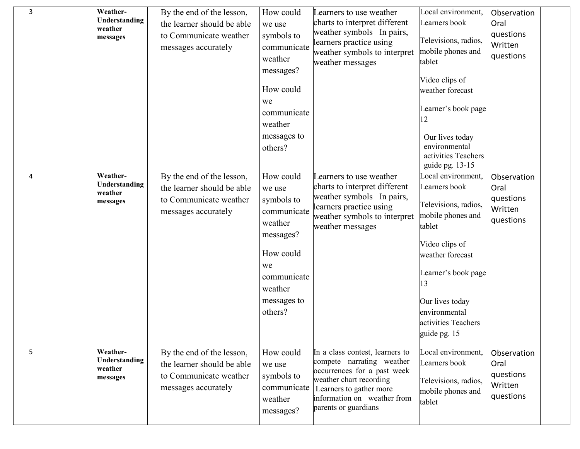| 3 | Weather-<br>Understanding<br>weather<br>messages | By the end of the lesson,<br>the learner should be able<br>to Communicate weather<br>messages accurately | How could<br>we use<br>symbols to<br>communicate<br>weather<br>messages?<br>How could<br>we<br>communicate<br>weather<br>messages to<br>others? | Learners to use weather<br>charts to interpret different<br>weather symbols In pairs,<br>learners practice using<br>weather symbols to interpret<br>weather messages                                     | Local environment,<br>Learners book<br>Televisions, radios,<br>mobile phones and<br>tablet<br>Video clips of<br>weather forecast<br>Learner's book page<br>12<br>Our lives today<br>environmental<br>activities Teachers<br>guide pg. 13-15 | Observation<br>Oral<br>questions<br>Written<br>questions |  |
|---|--------------------------------------------------|----------------------------------------------------------------------------------------------------------|-------------------------------------------------------------------------------------------------------------------------------------------------|----------------------------------------------------------------------------------------------------------------------------------------------------------------------------------------------------------|---------------------------------------------------------------------------------------------------------------------------------------------------------------------------------------------------------------------------------------------|----------------------------------------------------------|--|
| 4 | Weather-<br>Understanding<br>weather<br>messages | By the end of the lesson,<br>the learner should be able<br>to Communicate weather<br>messages accurately | How could<br>we use<br>symbols to<br>communicate<br>weather<br>messages?<br>How could<br>we<br>communicate<br>weather<br>messages to<br>others? | Learners to use weather<br>charts to interpret different<br>weather symbols In pairs,<br>learners practice using<br>weather symbols to interpret<br>weather messages                                     | Local environment,<br>Learners book<br>Televisions, radios,<br>mobile phones and<br>tablet<br>Video clips of<br>weather forecast<br>Learner's book page<br>13<br>Our lives today<br>environmental<br>activities Teachers<br>guide pg. 15    | Observation<br>Oral<br>questions<br>Written<br>questions |  |
| 5 | Weather-<br>Understanding<br>weather<br>messages | By the end of the lesson,<br>the learner should be able<br>to Communicate weather<br>messages accurately | How could<br>we use<br>symbols to<br>communicate<br>weather<br>messages?                                                                        | In a class contest, learners to<br>compete narrating weather<br>occurrences for a past week<br>weather chart recording<br>Learners to gather more<br>information on weather from<br>parents or guardians | Local environment,<br>Learners book<br>Televisions, radios,<br>mobile phones and<br>tablet                                                                                                                                                  | Observation<br>Oral<br>questions<br>Written<br>questions |  |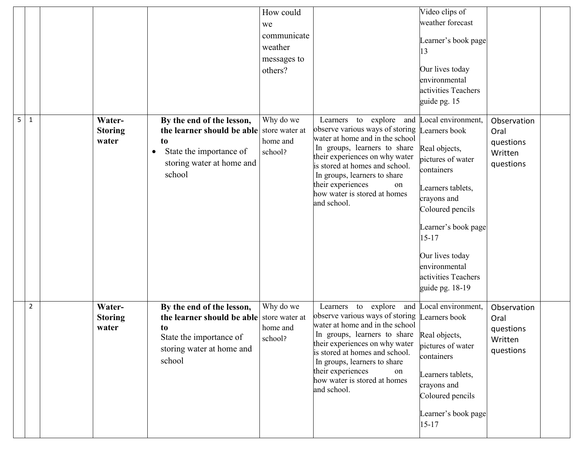|                |                                   |                                                                                                                     | How could                               |                                                                                                                                                                              | Video clips of                                           |                                  |
|----------------|-----------------------------------|---------------------------------------------------------------------------------------------------------------------|-----------------------------------------|------------------------------------------------------------------------------------------------------------------------------------------------------------------------------|----------------------------------------------------------|----------------------------------|
|                |                                   |                                                                                                                     | we                                      |                                                                                                                                                                              | weather forecast                                         |                                  |
|                |                                   |                                                                                                                     | communicate                             |                                                                                                                                                                              |                                                          |                                  |
|                |                                   |                                                                                                                     | weather                                 |                                                                                                                                                                              | Learner's book page<br>13                                |                                  |
|                |                                   |                                                                                                                     | messages to                             |                                                                                                                                                                              |                                                          |                                  |
|                |                                   |                                                                                                                     | others?                                 |                                                                                                                                                                              | Our lives today                                          |                                  |
|                |                                   |                                                                                                                     |                                         |                                                                                                                                                                              | environmental                                            |                                  |
|                |                                   |                                                                                                                     |                                         |                                                                                                                                                                              | activities Teachers                                      |                                  |
|                |                                   |                                                                                                                     |                                         |                                                                                                                                                                              | guide pg. 15                                             |                                  |
| 5<br>1         | Water-<br><b>Storing</b><br>water | By the end of the lesson,<br>the learner should be able<br>to                                                       | Why do we<br>store water at<br>home and | Learners to explore<br>observe various ways of storing<br>water at home and in the school<br>In groups, learners to share                                                    | and Local environment,<br>Learners book<br>Real objects, | Observation<br>Oral<br>questions |
|                |                                   | State the importance of<br>$\bullet$<br>storing water at home and<br>school                                         | school?                                 | their experiences on why water<br>is stored at homes and school.<br>In groups, learners to share                                                                             | pictures of water<br>containers                          | Written<br>questions             |
|                |                                   |                                                                                                                     |                                         | their experiences<br>on<br>how water is stored at homes<br>and school.                                                                                                       | Learners tablets,<br>crayons and<br>Coloured pencils     |                                  |
|                |                                   |                                                                                                                     |                                         |                                                                                                                                                                              | Learner's book page<br>$15 - 17$                         |                                  |
|                |                                   |                                                                                                                     |                                         |                                                                                                                                                                              | Our lives today                                          |                                  |
|                |                                   |                                                                                                                     |                                         |                                                                                                                                                                              | environmental                                            |                                  |
|                |                                   |                                                                                                                     |                                         |                                                                                                                                                                              | activities Teachers                                      |                                  |
|                |                                   |                                                                                                                     |                                         |                                                                                                                                                                              | guide pg. 18-19                                          |                                  |
| $\overline{2}$ | Water-<br><b>Storing</b><br>water | By the end of the lesson,<br>the learner should be able store water at<br>t <sub>o</sub><br>State the importance of | Why do we<br>home and                   | Learners to explore and Local environment,<br>observe various ways of storing Learners book<br>water at home and in the school<br>In groups, learners to share Real objects, |                                                          | Observation<br>Oral<br>questions |
|                |                                   | storing water at home and                                                                                           | school?                                 | their experiences on why water                                                                                                                                               | pictures of water                                        | Written                          |
|                |                                   | school                                                                                                              |                                         | is stored at homes and school.<br>In groups, learners to share                                                                                                               | containers                                               | questions                        |
|                |                                   |                                                                                                                     |                                         | their experiences<br>on                                                                                                                                                      | Learners tablets,                                        |                                  |
|                |                                   |                                                                                                                     |                                         | how water is stored at homes                                                                                                                                                 | crayons and                                              |                                  |
|                |                                   |                                                                                                                     |                                         | and school.                                                                                                                                                                  | Coloured pencils                                         |                                  |
|                |                                   |                                                                                                                     |                                         |                                                                                                                                                                              | Learner's book page<br>$15 - 17$                         |                                  |
|                |                                   |                                                                                                                     |                                         |                                                                                                                                                                              |                                                          |                                  |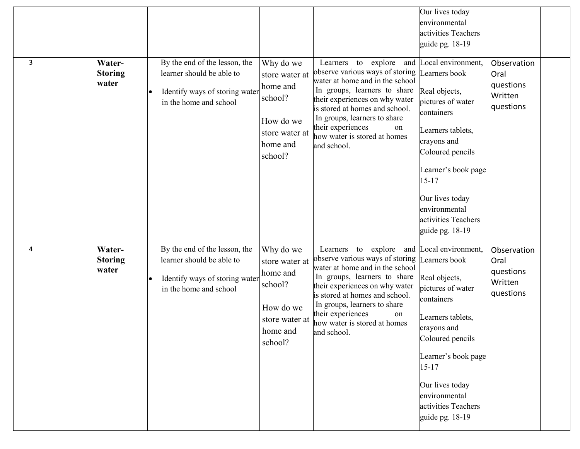| 3 | Water-<br><b>Storing</b><br>water | By the end of the lesson, the<br>learner should be able to<br>Identify ways of storing water<br>$\bullet$<br>in the home and school | Why do we<br>store water at<br>home and<br>school?<br>How do we<br>store water at<br>home and<br>school? | Learners to explore and<br>observe various ways of storing<br>water at home and in the school<br>In groups, learners to share<br>their experiences on why water<br>is stored at homes and school.<br>In groups, learners to share<br>their experiences<br>on<br>how water is stored at homes<br>and school. | Our lives today<br>environmental<br>activities Teachers<br>guide pg. 18-19<br>Local environment,<br>Learners book<br>Real objects,<br>pictures of water<br>containers<br>Learners tablets,<br>crayons and<br>Coloured pencils<br>Learner's book page<br>$15 - 17$<br>Our lives today<br>environmental<br>activities Teachers<br>guide pg. 18-19 | Observation<br>Oral<br>questions<br>Written<br>questions |  |
|---|-----------------------------------|-------------------------------------------------------------------------------------------------------------------------------------|----------------------------------------------------------------------------------------------------------|-------------------------------------------------------------------------------------------------------------------------------------------------------------------------------------------------------------------------------------------------------------------------------------------------------------|-------------------------------------------------------------------------------------------------------------------------------------------------------------------------------------------------------------------------------------------------------------------------------------------------------------------------------------------------|----------------------------------------------------------|--|
| 4 | Water-<br><b>Storing</b><br>water | By the end of the lesson, the<br>learner should be able to<br>Identify ways of storing water<br>in the home and school              | Why do we<br>store water at<br>home and<br>school?<br>How do we<br>store water at<br>home and<br>school? | Learners to explore<br>observe various ways of storing<br>water at home and in the school<br>In groups, learners to share<br>their experiences on why water<br>is stored at homes and school.<br>In groups, learners to share<br>their experiences<br>on<br>how water is stored at homes<br>and school.     | and Local environment,<br>Learners book<br>Real objects,<br>pictures of water<br>containers<br>Learners tablets,<br>crayons and<br>Coloured pencils<br>Learner's book page<br>$15 - 17$<br>Our lives today<br>environmental<br>activities Teachers<br>guide pg. 18-19                                                                           | Observation<br>Oral<br>questions<br>Written<br>questions |  |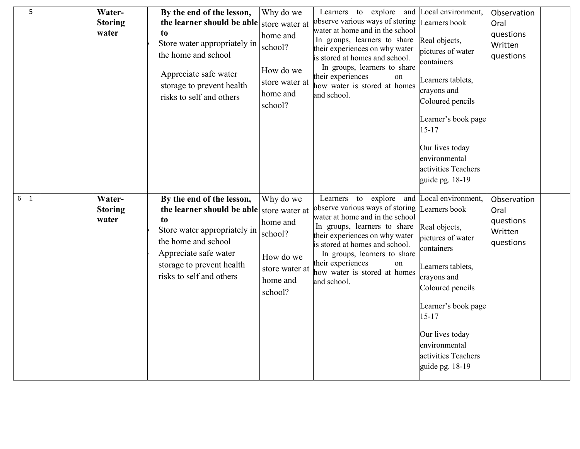|   | 5 | Water-<br><b>Storing</b><br>water | By the end of the lesson,<br>the learner should be able store water at<br>to<br>Store water appropriately in<br>the home and school<br>Appreciate safe water<br>storage to prevent health<br>risks to self and others             | Why do we<br>home and<br>school?<br>How do we<br>store water at<br>home and<br>school? | Learners to explore and Local environment,<br>observe various ways of storing<br>water at home and in the school<br>In groups, learners to share<br>their experiences on why water<br>is stored at homes and school.<br>In groups, learners to share<br>their experiences<br>on<br>how water is stored at homes<br>and school. | Learners book<br>Real objects,<br>pictures of water<br>containers<br>Learners tablets,<br>crayons and<br>Coloured pencils<br>Learner's book page<br>$15 - 17$<br>Our lives today<br>environmental<br>activities Teachers<br>guide pg. 18-19                       | Observation<br>Oral<br>questions<br>Written<br>questions |  |
|---|---|-----------------------------------|-----------------------------------------------------------------------------------------------------------------------------------------------------------------------------------------------------------------------------------|----------------------------------------------------------------------------------------|--------------------------------------------------------------------------------------------------------------------------------------------------------------------------------------------------------------------------------------------------------------------------------------------------------------------------------|-------------------------------------------------------------------------------------------------------------------------------------------------------------------------------------------------------------------------------------------------------------------|----------------------------------------------------------|--|
| 6 | 1 | Water-<br><b>Storing</b><br>water | By the end of the lesson,<br>the learner should be able store water at<br>t <sub>0</sub><br>Store water appropriately in<br>the home and school<br>Appreciate safe water<br>storage to prevent health<br>risks to self and others | Why do we<br>home and<br>school?<br>How do we<br>store water at<br>home and<br>school? | Learners to explore<br>and<br>observe various ways of storing<br>water at home and in the school<br>In groups, learners to share<br>their experiences on why water<br>is stored at homes and school.<br>In groups, learners to share<br>their experiences<br>on<br>how water is stored at homes<br>and school.                 | Local environment,<br>Learners book<br>Real objects,<br>pictures of water<br>containers<br>Learners tablets,<br>crayons and<br>Coloured pencils<br>Learner's book page<br>$15 - 17$<br>Our lives today<br>environmental<br>activities Teachers<br>guide pg. 18-19 | Observation<br>Oral<br>questions<br>Written<br>questions |  |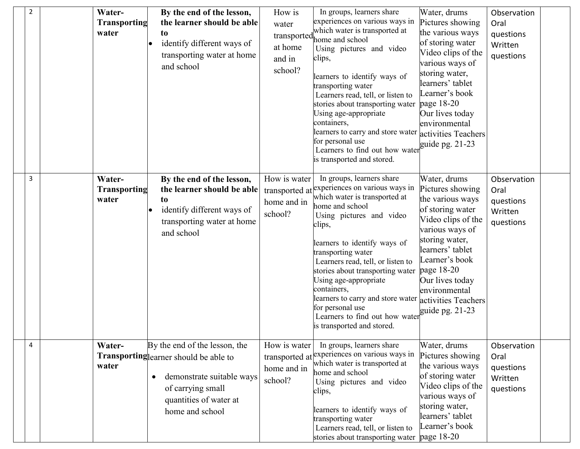| $\overline{2}$ | Water-<br><b>Transporting</b><br>water | By the end of the lesson,<br>the learner should be able<br>to<br>identify different ways of<br>transporting water at home<br>and school                                | How is<br>water<br>at home<br>and in<br>school? | In groups, learners share<br>experiences on various ways in<br>which water is transported at<br>transported home and school<br>Using pictures and video<br>clips,<br>learners to identify ways of<br>transporting water<br>Learners read, tell, or listen to<br>stories about transporting water<br>Using age-appropriate<br>containers,<br>learners to carry and store water<br>for personal use<br>Learners to find out how water<br>is transported and stored.    | Water, drums<br>Pictures showing<br>the various ways<br>of storing water<br>Video clips of the<br>various ways of<br>storing water,<br>learners' tablet<br>Learner's book<br>page 18-20<br>Our lives today<br>environmental<br>activities Teachers<br>guide pg. $21-23$ | Observation<br>Oral<br>questions<br>Written<br>questions |  |
|----------------|----------------------------------------|------------------------------------------------------------------------------------------------------------------------------------------------------------------------|-------------------------------------------------|----------------------------------------------------------------------------------------------------------------------------------------------------------------------------------------------------------------------------------------------------------------------------------------------------------------------------------------------------------------------------------------------------------------------------------------------------------------------|-------------------------------------------------------------------------------------------------------------------------------------------------------------------------------------------------------------------------------------------------------------------------|----------------------------------------------------------|--|
| 3              | Water-<br><b>Transporting</b><br>water | By the end of the lesson,<br>the learner should be able<br>t <sub>0</sub><br>identify different ways of<br>transporting water at home<br>and school                    | How is water<br>home and in<br>school?          | In groups, learners share<br>transported at experiences on various ways in<br>which water is transported at<br>home and school<br>Using pictures and video<br>clips,<br>learners to identify ways of<br>transporting water<br>Learners read, tell, or listen to<br>stories about transporting water<br>Using age-appropriate<br>containers,<br>learners to carry and store water<br>for personal use<br>Learners to find out how water<br>is transported and stored. | Water, drums<br>Pictures showing<br>the various ways<br>of storing water<br>Video clips of the<br>various ways of<br>storing water,<br>learners' tablet<br>Learner's book<br>page 18-20<br>Our lives today<br>environmental<br>activities Teachers<br>guide pg. 21-23   | Observation<br>Oral<br>questions<br>Written<br>questions |  |
| 4              | Water-<br>water                        | By the end of the lesson, the<br>Transporting learner should be able to<br>demonstrate suitable ways<br>of carrying small<br>quantities of water at<br>home and school | How is water<br>home and in<br>school?          | In groups, learners share<br>transported at <i>experiences</i> on various ways in<br>which water is transported at<br>home and school<br>Using pictures and video<br>clips,<br>learners to identify ways of<br>transporting water<br>Learners read, tell, or listen to<br>stories about transporting water                                                                                                                                                           | Water, drums<br>Pictures showing<br>the various ways<br>of storing water<br>Video clips of the<br>various ways of<br>storing water,<br>learners' tablet<br>Learner's book<br>page 18-20                                                                                 | Observation<br>Oral<br>questions<br>Written<br>questions |  |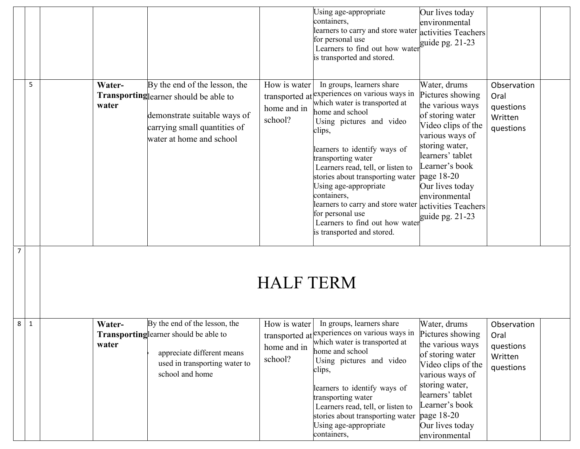|                   |                 |                                                                                                                                                                     |                                        | Using age-appropriate<br>containers,<br>learners to carry and store water activities Teachers<br>for personal use<br>Learners to find out how water<br>is transported and stored.                                                                                                                                                                                                                                                                                    | Our lives today<br>environmental<br>guide pg. 21-23                                                                                                                                                                                                                     |                                                          |
|-------------------|-----------------|---------------------------------------------------------------------------------------------------------------------------------------------------------------------|----------------------------------------|----------------------------------------------------------------------------------------------------------------------------------------------------------------------------------------------------------------------------------------------------------------------------------------------------------------------------------------------------------------------------------------------------------------------------------------------------------------------|-------------------------------------------------------------------------------------------------------------------------------------------------------------------------------------------------------------------------------------------------------------------------|----------------------------------------------------------|
| 5                 | Water-<br>water | By the end of the lesson, the<br>Transporting learner should be able to<br>demonstrate suitable ways of<br>carrying small quantities of<br>water at home and school | How is water<br>home and in<br>school? | In groups, learners share<br>transported at experiences on various ways in<br>which water is transported at<br>home and school<br>Using pictures and video<br>clips,<br>learners to identify ways of<br>transporting water<br>Learners read, tell, or listen to<br>stories about transporting water<br>Using age-appropriate<br>containers,<br>learners to carry and store water<br>for personal use<br>Learners to find out how water<br>is transported and stored. | Water, drums<br>Pictures showing<br>the various ways<br>of storing water<br>Video clips of the<br>various ways of<br>storing water,<br>learners' tablet<br>Learner's book<br>page $18-20$<br>Our lives today<br>environmental<br>activities Teachers<br>guide pg. 21-23 | Observation<br>Oral<br>questions<br>Written<br>questions |
| $\overline{7}$    |                 |                                                                                                                                                                     | <b>HALF TERM</b>                       |                                                                                                                                                                                                                                                                                                                                                                                                                                                                      |                                                                                                                                                                                                                                                                         |                                                          |
| 8<br>$\mathbf{1}$ | Water-<br>water | By the end of the lesson, the<br>Transporting learner should be able to<br>appreciate different means<br>used in transporting water to<br>school and home           | How is water<br>home and in<br>school? | In groups, learners share<br>transported at $\exp$ experiences on various ways in Pictures showing<br>which water is transported at<br>home and school<br>Using pictures and video<br>clips,<br>learners to identify ways of<br>transporting water<br>Learners read, tell, or listen to<br>stories about transporting water<br>Using age-appropriate<br>containers,                                                                                                  | Water, drums<br>the various ways<br>of storing water<br>Video clips of the<br>various ways of<br>storing water,<br>learners' tablet<br>Learner's book<br>page 18-20<br>Our lives today<br>environmental                                                                 | Observation<br>Oral<br>questions<br>Written<br>questions |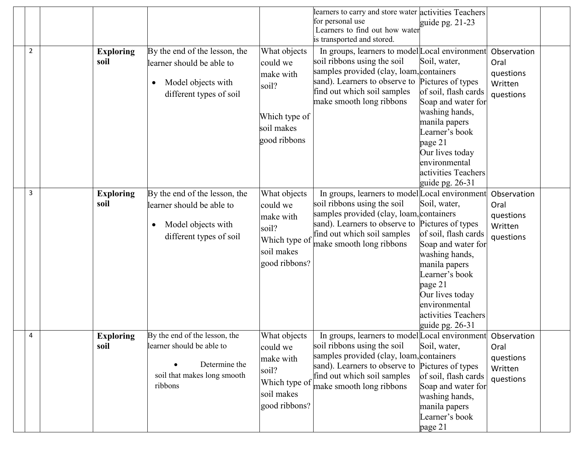|                |                          |                                                                                                                          |                                                                                                | learners to carry and store water activities Teachers<br>for personal use<br>Learners to find out how water<br>is transported and stored.                                                                                                           | guide pg. $21-23$                                                                                                                                                                                                             |                                                          |  |
|----------------|--------------------------|--------------------------------------------------------------------------------------------------------------------------|------------------------------------------------------------------------------------------------|-----------------------------------------------------------------------------------------------------------------------------------------------------------------------------------------------------------------------------------------------------|-------------------------------------------------------------------------------------------------------------------------------------------------------------------------------------------------------------------------------|----------------------------------------------------------|--|
| $\overline{2}$ | <b>Exploring</b><br>soil | By the end of the lesson, the<br>learner should be able to<br>Model objects with<br>different types of soil              | What objects<br>could we<br>make with<br>soil?<br>Which type of<br>soil makes<br>good ribbons  | In groups, learners to model Local environment<br>soil ribbons using the soil<br>samples provided (clay, loam, containers<br>sand). Learners to observe to Pictures of types<br>find out which soil samples<br>make smooth long ribbons             | Soil, water,<br>of soil, flash cards<br>Soap and water for<br>washing hands,<br>manila papers<br>Learner's book<br>page 21<br>Our lives today<br>environmental<br>activities Teachers<br>guide pg. $26-31$                    | Observation<br>Oral<br>questions<br>Written<br>questions |  |
| 3              | <b>Exploring</b><br>soil | By the end of the lesson, the<br>learner should be able to<br>Model objects with<br>$\bullet$<br>different types of soil | What objects<br>could we<br>make with<br>soil?<br>Which type of<br>soil makes<br>good ribbons? | In groups, learners to model Local environment<br>soil ribbons using the soil<br>samples provided (clay, loam, containers<br>sand). Learners to observe to<br>find out which soil samples<br>make smooth long ribbons                               | Soil, water,<br>Pictures of types<br>of soil, flash cards<br>Soap and water for<br>washing hands,<br>manila papers<br>Learner's book<br>page 21<br>Our lives today<br>environmental<br>activities Teachers<br>guide pg. 26-31 | Observation<br>Oral<br>questions<br>Written<br>questions |  |
| $\Delta$       | <b>Exploring</b><br>soil | By the end of the lesson, the<br>learner should be able to<br>Determine the<br>soil that makes long smooth<br>ribbons    | What objects<br>could we<br>make with<br>soil?<br>Which type of<br>soil makes<br>good ribbons? | In groups, learners to model Local environment Observation<br>soil ribbons using the soil<br>samples provided (clay, loam, containers<br>sand). Learners to observe to Pictures of types<br>find out which soil samples<br>make smooth long ribbons | Soil, water,<br>of soil, flash cards<br>Soap and water for<br>washing hands,<br>manila papers<br>Learner's book<br>page 21                                                                                                    | Oral<br>questions<br>Written<br>questions                |  |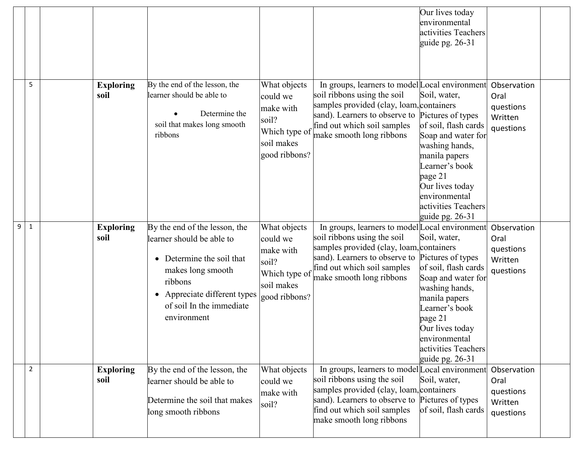|   |                |                          |                                                                                                                                                                                                             |                                                                                                |                                                                                                                                                                                                                                         | Our lives today<br>environmental<br>activities Teachers<br>guide pg. 26-31                                                                                                                                                    |                                                          |  |
|---|----------------|--------------------------|-------------------------------------------------------------------------------------------------------------------------------------------------------------------------------------------------------------|------------------------------------------------------------------------------------------------|-----------------------------------------------------------------------------------------------------------------------------------------------------------------------------------------------------------------------------------------|-------------------------------------------------------------------------------------------------------------------------------------------------------------------------------------------------------------------------------|----------------------------------------------------------|--|
|   | 5              | <b>Exploring</b><br>soil | By the end of the lesson, the<br>learner should be able to<br>Determine the<br>soil that makes long smooth<br>ribbons                                                                                       | What objects<br>could we<br>make with<br>soil?<br>Which type of<br>soil makes<br>good ribbons? | In groups, learners to model Local environment<br>soil ribbons using the soil<br>samples provided (clay, loam, containers<br>sand). Learners to observe to Pictures of types<br>find out which soil samples<br>make smooth long ribbons | Soil, water,<br>of soil, flash cards<br>Soap and water for<br>washing hands,<br>manila papers<br>Learner's book<br>page 21<br>Our lives today<br>environmental<br>activities Teachers<br>guide pg. 26-31                      | Observation<br>Oral<br>questions<br>Written<br>questions |  |
| 9 | 1              | <b>Exploring</b><br>soil | By the end of the lesson, the<br>learner should be able to<br>Determine the soil that<br>makes long smooth<br>ribbons<br>Appreciate different types<br>$\bullet$<br>of soil In the immediate<br>environment | What objects<br>could we<br>make with<br>soil?<br>Which type of<br>soil makes<br>good ribbons? | In groups, learners to model Local environment<br>soil ribbons using the soil<br>samples provided (clay, loam, containers<br>sand). Learners to observe to<br>find out which soil samples<br>make smooth long ribbons                   | Soil, water,<br>Pictures of types<br>of soil, flash cards<br>Soap and water for<br>washing hands,<br>manila papers<br>Learner's book<br>page 21<br>Our lives today<br>environmental<br>activities Teachers<br>guide pg. 26-31 | Observation<br>Oral<br>questions<br>Written<br>questions |  |
|   | $\overline{2}$ | <b>Exploring</b><br>soil | By the end of the lesson, the<br>learner should be able to<br>Determine the soil that makes<br>long smooth ribbons                                                                                          | What objects<br>could we<br>make with<br>soil?                                                 | In groups, learners to model Local environment<br>soil ribbons using the soil<br>samples provided (clay, loam, containers<br>sand). Learners to observe to<br>find out which soil samples<br>make smooth long ribbons                   | Soil, water,<br>Pictures of types<br>of soil, flash cards                                                                                                                                                                     | Observation<br>Oral<br>questions<br>Written<br>questions |  |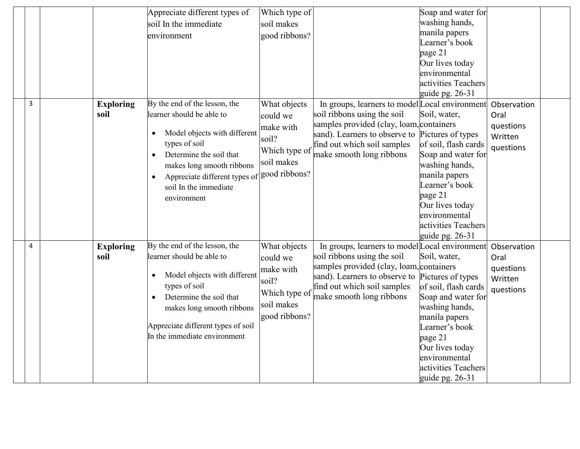|   |                  | Appreciate different types of               | Which type of |                                                              | Soap and water for                                                                      |             |  |
|---|------------------|---------------------------------------------|---------------|--------------------------------------------------------------|-----------------------------------------------------------------------------------------|-------------|--|
|   |                  | soil In the immediate                       | soil makes    |                                                              | washing hands,                                                                          |             |  |
|   |                  | environment                                 | good ribbons? |                                                              | manila papers                                                                           |             |  |
|   |                  |                                             |               |                                                              | Learner's book                                                                          |             |  |
|   |                  |                                             |               |                                                              | page 21                                                                                 |             |  |
|   |                  |                                             |               |                                                              | Our lives today                                                                         |             |  |
|   |                  |                                             |               |                                                              | environmental                                                                           |             |  |
|   |                  |                                             |               |                                                              | activities Teachers                                                                     |             |  |
|   |                  |                                             |               |                                                              | guide pg. $26-31$                                                                       |             |  |
| 3 | <b>Exploring</b> | By the end of the lesson, the               | What objects  | In groups, learners to model Local environment               |                                                                                         | Observation |  |
|   | soil             | learner should be able to                   | could we      | soil ribbons using the soil                                  | Soil, water,                                                                            | Oral        |  |
|   |                  | Model objects with different                | make with     | samples provided (clay, loam, containers                     |                                                                                         | questions   |  |
|   |                  | types of soil                               | soil?         | sand). Learners to observe to<br>find out which soil samples | Pictures of types<br>of soil, flash cards                                               | Written     |  |
|   |                  | Determine the soil that<br>$\bullet$        | Which type of | make smooth long ribbons                                     | Soap and water for                                                                      | questions   |  |
|   |                  | makes long smooth ribbons                   | soil makes    |                                                              | washing hands,                                                                          |             |  |
|   |                  | Appreciate different types of good ribbons? |               |                                                              | manila papers                                                                           |             |  |
|   |                  | soil In the immediate                       |               |                                                              | Learner's book                                                                          |             |  |
|   |                  | environment                                 |               |                                                              | page 21                                                                                 |             |  |
|   |                  |                                             |               |                                                              | Our lives today                                                                         |             |  |
|   |                  |                                             |               |                                                              | environmental                                                                           |             |  |
|   |                  |                                             |               |                                                              | activities Teachers                                                                     |             |  |
|   |                  |                                             |               |                                                              | guide pg. 26-31                                                                         |             |  |
| 4 | <b>Exploring</b> | By the end of the lesson, the               | What objects  | In groups, learners to model Local environment               |                                                                                         | Observation |  |
|   | soil             | learner should be able to                   | could we      | soil ribbons using the soil                                  | Soil, water,                                                                            | Oral        |  |
|   |                  |                                             | make with     | samples provided (clay, loam, containers                     |                                                                                         | questions   |  |
|   |                  | Model objects with different                | soil?         | sand). Learners to observe to                                | Pictures of types                                                                       | Written     |  |
|   |                  | types of soil                               | Which type of | find out which soil samples                                  | of soil, flash cards                                                                    | questions   |  |
|   |                  | Determine the soil that                     | soil makes    | make smooth long ribbons                                     | Soap and water for                                                                      |             |  |
|   |                  | makes long smooth ribbons                   |               |                                                              | washing hands,                                                                          |             |  |
|   |                  | Appreciate different types of soil          | good ribbons? |                                                              | manila papers                                                                           |             |  |
|   |                  |                                             |               |                                                              | Learner's book                                                                          |             |  |
|   |                  |                                             |               |                                                              |                                                                                         |             |  |
|   |                  |                                             |               |                                                              |                                                                                         |             |  |
|   |                  |                                             |               |                                                              |                                                                                         |             |  |
|   |                  |                                             |               |                                                              |                                                                                         |             |  |
|   |                  | In the immediate environment                |               |                                                              | page 21<br>Our lives today<br>environmental<br>activities Teachers<br>guide pg. $26-31$ |             |  |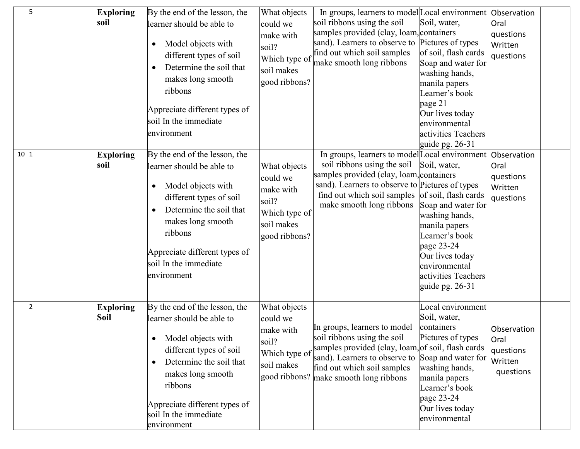|        | 5              | <b>Exploring</b><br>soil        | By the end of the lesson, the<br>learner should be able to<br>Model objects with<br>٠<br>different types of soil<br>Determine the soil that<br>makes long smooth<br>ribbons<br>Appreciate different types of<br>soil In the immediate<br>environment         | What objects<br>could we<br>make with<br>soil?<br>Which type of<br>soil makes<br>good ribbons? | In groups, learners to model Local environment<br>soil ribbons using the soil<br>samples provided (clay, loam, containers<br>sand). Learners to observe to Pictures of types<br>find out which soil samples<br>make smooth long ribbons                                   | Soil, water,<br>of soil, flash cards<br>Soap and water for<br>washing hands,<br>manila papers<br>Learner's book<br>page 21<br>Our lives today<br>environmental<br>activities Teachers<br>guide pg. 26-31 | Observation<br>Oral<br>questions<br>Written<br>questions |  |
|--------|----------------|---------------------------------|--------------------------------------------------------------------------------------------------------------------------------------------------------------------------------------------------------------------------------------------------------------|------------------------------------------------------------------------------------------------|---------------------------------------------------------------------------------------------------------------------------------------------------------------------------------------------------------------------------------------------------------------------------|----------------------------------------------------------------------------------------------------------------------------------------------------------------------------------------------------------|----------------------------------------------------------|--|
| $10-1$ |                | <b>Exploring</b><br>soil        | By the end of the lesson, the<br>learner should be able to<br>Model objects with<br>different types of soil<br>Determine the soil that<br>$\bullet$<br>makes long smooth<br>ribbons<br>Appreciate different types of<br>soil In the immediate<br>environment | What objects<br>could we<br>make with<br>soil?<br>Which type of<br>soil makes<br>good ribbons? | In groups, learners to model Local environment<br>soil ribbons using the soil Soil, water,<br>samples provided (clay, loam, containers<br>sand). Learners to observe to Pictures of types<br>find out which soil samples of soil, flash cards<br>make smooth long ribbons | Soap and water for<br>washing hands,<br>manila papers<br>Learner's book<br>page 23-24<br>Our lives today<br>environmental<br>activities Teachers<br>guide pg. 26-31                                      | Observation<br>Oral<br>questions<br>Written<br>questions |  |
|        | $\overline{2}$ | <b>Exploring</b><br><b>Soil</b> | By the end of the lesson, the<br>learner should be able to<br>Model objects with<br>different types of soil<br>Determine the soil that<br>$\bullet$<br>makes long smooth<br>ribbons<br>Appreciate different types of<br>soil In the immediate<br>environment | What objects<br>could we<br>make with<br>soil?<br>Which type of<br>soil makes                  | In groups, learners to model<br>soil ribbons using the soil<br>samples provided (clay, loam, of soil, flash cards<br>sand). Learners to observe to<br>find out which soil samples<br>good ribbons? make smooth long ribbons                                               | Local environment<br>Soil, water,<br>containers<br>Pictures of types<br>Soap and water for<br>washing hands,<br>manila papers<br>Learner's book<br>page 23-24<br>Our lives today<br>environmental        | Observation<br>Oral<br>questions<br>Written<br>questions |  |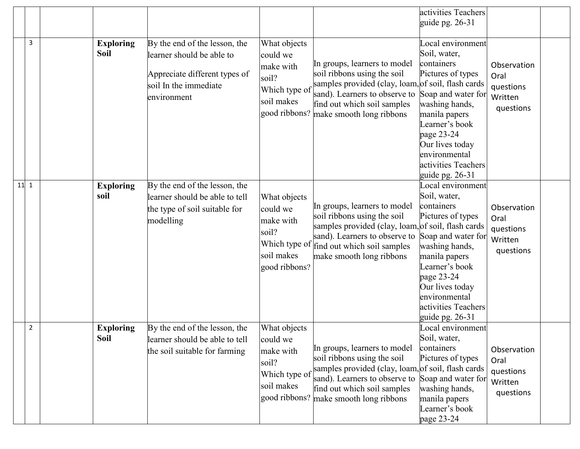|                |                                 |                                                                                                                                     |                                                                                                |                                                                                                                                                                                                               | activities Teachers<br>guide pg. 26-31                                                                                                                                                                                                        |                                                          |
|----------------|---------------------------------|-------------------------------------------------------------------------------------------------------------------------------------|------------------------------------------------------------------------------------------------|---------------------------------------------------------------------------------------------------------------------------------------------------------------------------------------------------------------|-----------------------------------------------------------------------------------------------------------------------------------------------------------------------------------------------------------------------------------------------|----------------------------------------------------------|
| 3              | <b>Exploring</b><br><b>Soil</b> | By the end of the lesson, the<br>learner should be able to<br>Appreciate different types of<br>soil In the immediate<br>environment | What objects<br>could we<br>make with<br>soil?<br>Which type of<br>soil makes<br>good ribbons? | In groups, learners to model<br>soil ribbons using the soil<br>samples provided (clay, loam, of soil, flash cards<br>sand). Learners to observe to<br>find out which soil samples<br>make smooth long ribbons | Local environment<br>Soil, water,<br>containers<br>Pictures of types<br>Soap and water for<br>washing hands,<br>manila papers<br>Learner's book<br>page 23-24<br>Our lives today<br>environmental<br>activities Teachers<br>guide pg. $26-31$ | Observation<br>Oral<br>questions<br>Written<br>questions |
| $11$ 1         | <b>Exploring</b><br>soil        | By the end of the lesson, the<br>learner should be able to tell<br>the type of soil suitable for<br>modelling                       | What objects<br>could we<br>make with<br>soil?<br>Which type of<br>soil makes<br>good ribbons? | In groups, learners to model<br>soil ribbons using the soil<br>samples provided (clay, loam, of soil, flash cards<br>sand). Learners to observe to<br>find out which soil samples<br>make smooth long ribbons | Local environment<br>Soil, water,<br>containers<br>Pictures of types<br>Soap and water for<br>washing hands,<br>manila papers<br>Learner's book<br>page 23-24<br>Our lives today<br>environmental<br>activities Teachers<br>guide pg. 26-31   | Observation<br>Oral<br>questions<br>Written<br>questions |
| $\overline{2}$ | <b>Exploring</b><br>Soil        | By the end of the lesson, the<br>learner should be able to tell<br>the soil suitable for farming                                    | What objects<br>could we<br>make with<br>soil?<br>Which type of<br>soil makes<br>good ribbons? | In groups, learners to model<br>soil ribbons using the soil<br>samples provided (clay, loam, of soil, flash cards<br>sand). Learners to observe to<br>find out which soil samples<br>make smooth long ribbons | Local environment<br>Soil, water,<br>containers<br>Pictures of types<br>Soap and water for<br>washing hands,<br>manila papers<br>Learner's book<br>page 23-24                                                                                 | Observation<br>Oral<br>questions<br>Written<br>questions |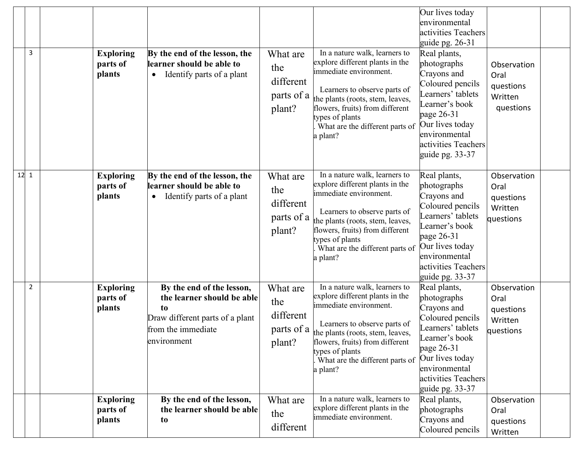| 3              | <b>Exploring</b><br>parts of<br>plants | By the end of the lesson, the<br>learner should be able to<br>Identify parts of a plant                                               | What are<br>the<br>different<br>parts of a<br>plant? | In a nature walk, learners to<br>explore different plants in the<br>immediate environment.<br>Learners to observe parts of<br>the plants (roots, stem, leaves,<br>flowers, fruits) from different<br>types of plants<br>What are the different parts of<br>a plant? | Our lives today<br>environmental<br>activities Teachers<br>guide pg. $26-31$<br>Real plants,<br>photographs<br>Crayons and<br>Coloured pencils<br>Learners' tablets<br>Learner's book<br>page 26-31<br>Our lives today<br>environmental<br>activities Teachers<br>guide pg. 33-37 | Observation<br>Oral<br>questions<br>Written<br>questions |  |
|----------------|----------------------------------------|---------------------------------------------------------------------------------------------------------------------------------------|------------------------------------------------------|---------------------------------------------------------------------------------------------------------------------------------------------------------------------------------------------------------------------------------------------------------------------|-----------------------------------------------------------------------------------------------------------------------------------------------------------------------------------------------------------------------------------------------------------------------------------|----------------------------------------------------------|--|
| $12 \mid 1$    | <b>Exploring</b><br>parts of<br>plants | By the end of the lesson, the<br>learner should be able to<br>Identify parts of a plant                                               | What are<br>the<br>different<br>parts of a<br>plant? | In a nature walk, learners to<br>explore different plants in the<br>immediate environment.<br>Learners to observe parts of<br>the plants (roots, stem, leaves,<br>flowers, fruits) from different<br>types of plants<br>What are the different parts of<br>a plant? | Real plants,<br>photographs<br>Crayons and<br>Coloured pencils<br>Learners' tablets<br>Learner's book<br>page 26-31<br>Our lives today<br>environmental<br>activities Teachers<br>guide pg. 33-37                                                                                 | Observation<br>Oral<br>questions<br>Written<br>questions |  |
| $\overline{2}$ | <b>Exploring</b><br>parts of<br>plants | By the end of the lesson,<br>the learner should be able<br>to<br>Draw different parts of a plant<br>from the immediate<br>environment | What are<br>the<br>different<br>parts of a<br>plant? | In a nature walk, learners to<br>explore different plants in the<br>immediate environment.<br>Learners to observe parts of<br>the plants (roots, stem, leaves,<br>flowers, fruits) from different<br>types of plants<br>What are the different parts of<br>a plant? | Real plants,<br>photographs<br>Crayons and<br>Coloured pencils<br>Learners' tablets<br>Learner's book<br>page $26-31$<br>Our lives today<br>environmental<br>activities Teachers<br>guide pg. 33-37                                                                               | Observation<br>Oral<br>questions<br>Written<br>questions |  |
|                | <b>Exploring</b><br>parts of<br>plants | By the end of the lesson,<br>the learner should be able<br>to                                                                         | What are<br>the<br>different                         | In a nature walk, learners to<br>explore different plants in the<br>immediate environment.                                                                                                                                                                          | Real plants,<br>photographs<br>Crayons and<br>Coloured pencils                                                                                                                                                                                                                    | Observation<br>Oral<br>questions<br>Written              |  |